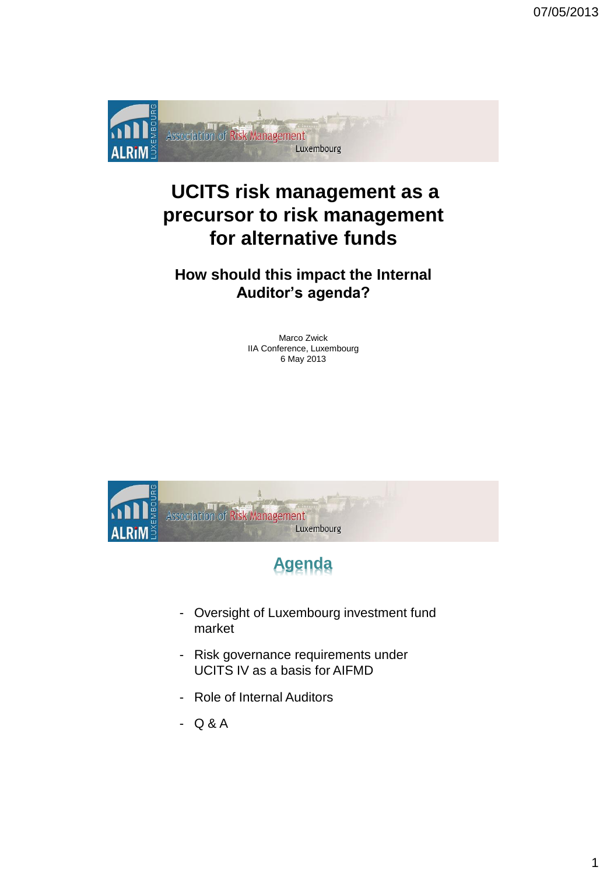

# **UCITS risk management as a precursor to risk management for alternative funds**

### **How should this impact the Internal Auditor's agenda?**

Marco Zwick IIA Conference, Luxembourg 6 May 2013



# **Agenda**

- Oversight of Luxembourg investment fund market
- Risk governance requirements under UCITS IV as a basis for AIFMD
- Role of Internal Auditors
- Q & A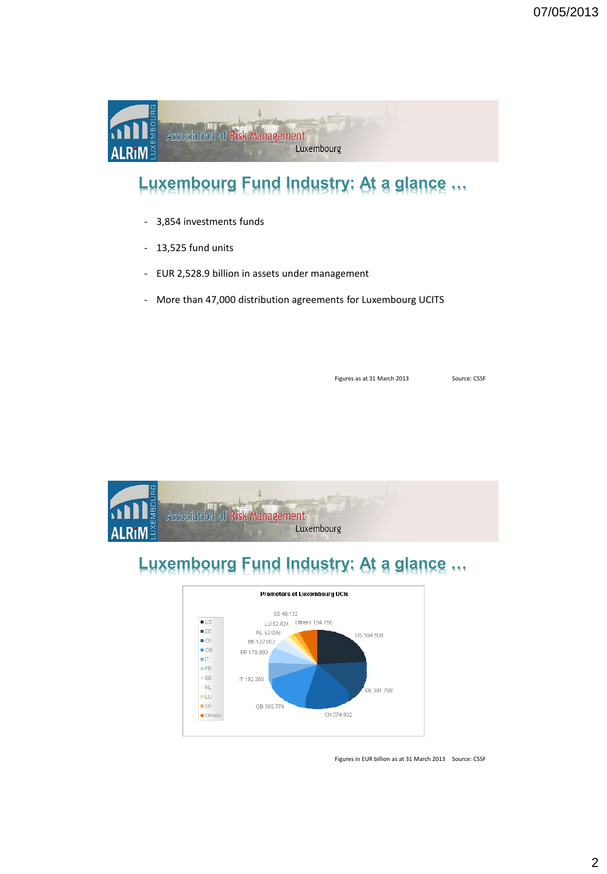

# **Luxembourg Fund Industry: At a glance …**

- 3,854 investments funds
- 13,525 fund units
- EUR 2,528.9 billion in assets under management
- More than 47,000 distribution agreements for Luxembourg UCITS

Figures as at 31 March 2013 Source: CSSF



# **Luxembourg Fund Industry: At a glance …**



Figures in EUR billion as at 31 March 2013 Source: CSSF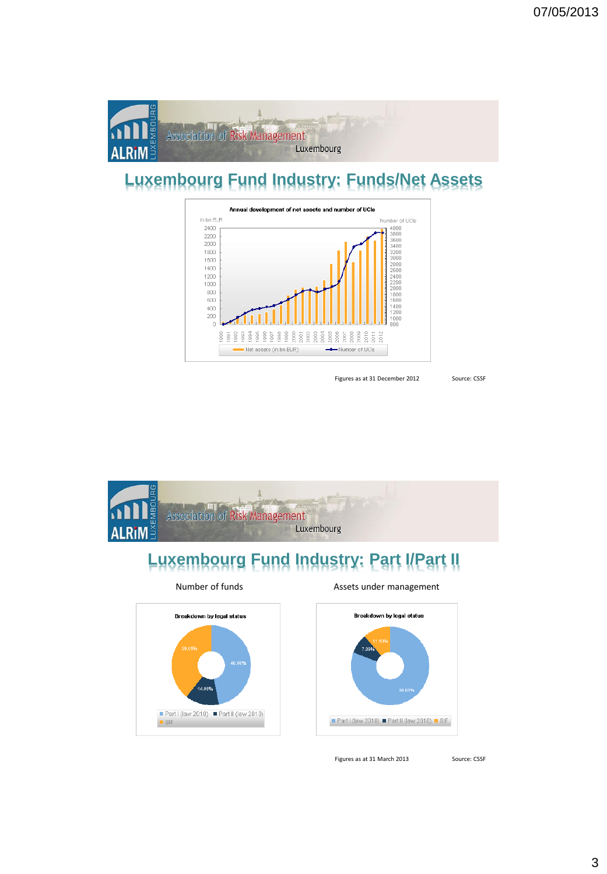

# **Luxembourg Fund Industry: Funds/Net Assets**



Figures as at 31 December 2012 Source: CSSF



# **Luxembourg Fund Industry: Part I/Part II**



### Number of funds **Assets** under management



Figures as at 31 March 2013 Source: CSSF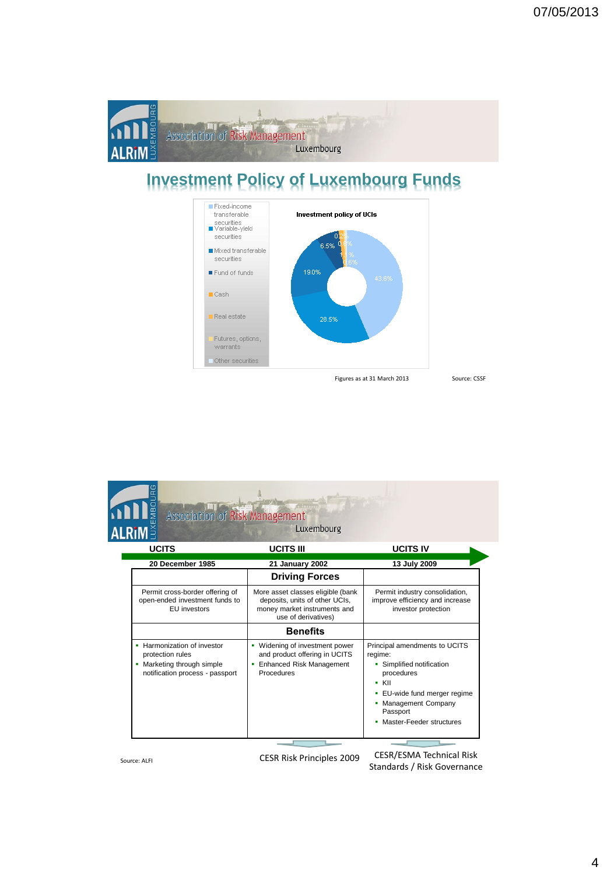

# **Investment Policy of Luxembourg Funds**



Figures as at 31 March 2013 Source: CSSF

| <b>ALRIM</b>                                                                                                     | Luxembourg                                                                                                                 |                                                                                                                                                                                                         |
|------------------------------------------------------------------------------------------------------------------|----------------------------------------------------------------------------------------------------------------------------|---------------------------------------------------------------------------------------------------------------------------------------------------------------------------------------------------------|
| <b>UCITS</b>                                                                                                     | <b>UCITS III</b>                                                                                                           | <b>UCITS IV</b>                                                                                                                                                                                         |
| 20 December 1985                                                                                                 | 21 January 2002                                                                                                            | 13 July 2009                                                                                                                                                                                            |
|                                                                                                                  | <b>Driving Forces</b>                                                                                                      |                                                                                                                                                                                                         |
| Permit cross-border offering of<br>open-ended investment funds to<br><b>EU</b> investors                         | More asset classes eligible (bank<br>deposits, units of other UCIs,<br>money market instruments and<br>use of derivatives) | Permit industry consolidation,<br>improve efficiency and increase<br>investor protection                                                                                                                |
|                                                                                                                  | <b>Benefits</b>                                                                                                            |                                                                                                                                                                                                         |
| • Harmonization of investor<br>protection rules<br>• Marketing through simple<br>notification process - passport | • Widening of investment power<br>and product offering in UCITS<br>• Enhanced Risk Management<br>Procedures                | Principal amendments to UCITS<br>regime:<br>• Simplified notification<br>procedures<br>$\blacksquare$ KII<br>EU-wide fund merger regime<br>Management Company<br>Passport<br>• Master-Feeder structures |

Source: ALFI CESR Risk Principles 2009 CESR/ESMA Technical Risk Standards / Risk Governance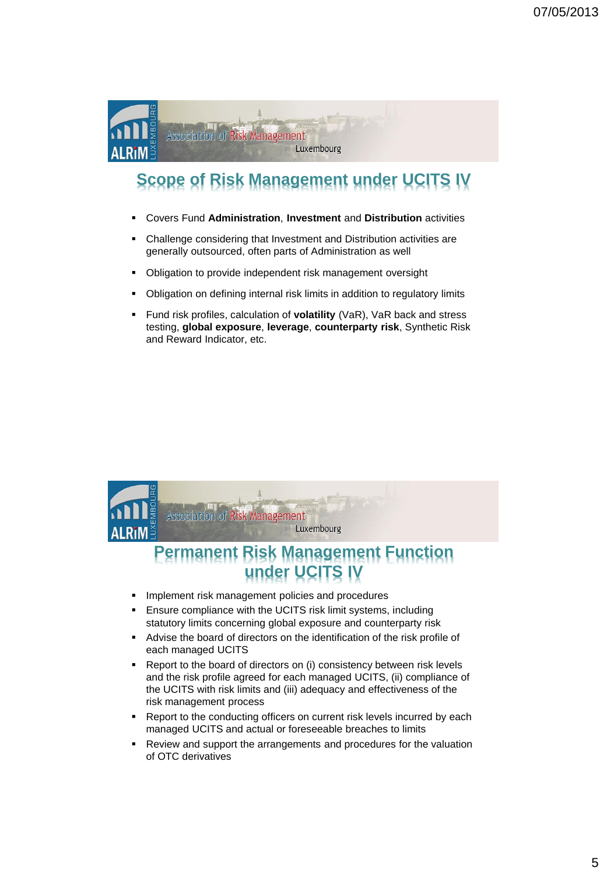

# **Scope of Risk Management under UCITS IV**

- Covers Fund **Administration**, **Investment** and **Distribution** activities
- Challenge considering that Investment and Distribution activities are generally outsourced, often parts of Administration as well
- **-** Obligation to provide independent risk management oversight
- Obligation on defining internal risk limits in addition to regulatory limits
- Fund risk profiles, calculation of **volatility** (VaR), VaR back and stress testing, **global exposure**, **leverage**, **counterparty risk**, Synthetic Risk and Reward Indicator, etc.



- the UCITS with risk limits and (iii) adequacy and effectiveness of the risk management process
- Report to the conducting officers on current risk levels incurred by each managed UCITS and actual or foreseeable breaches to limits
- Review and support the arrangements and procedures for the valuation of OTC derivatives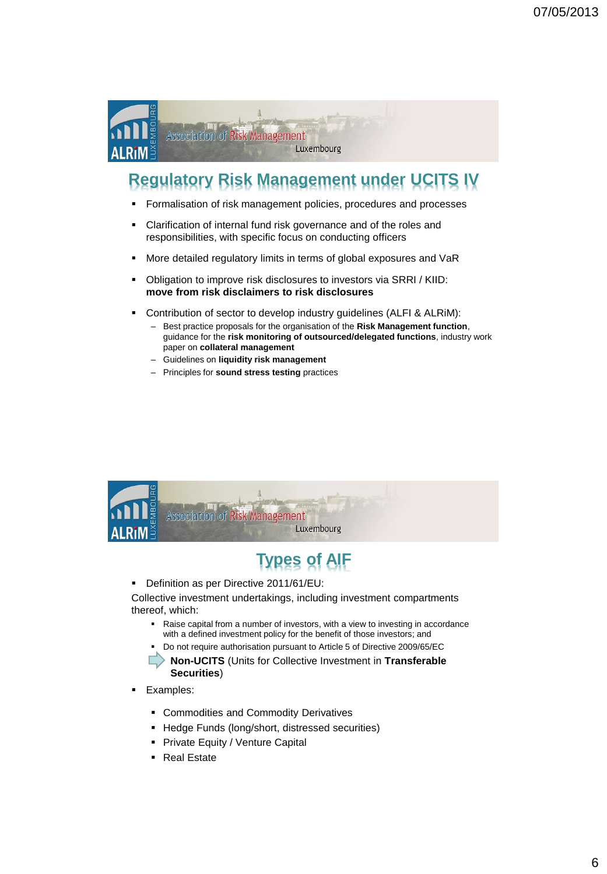

# **Regulatory Risk Management under UCITS IV**

- **Formalisation of risk management policies, procedures and processes**
- Clarification of internal fund risk governance and of the roles and responsibilities, with specific focus on conducting officers
- **More detailed regulatory limits in terms of global exposures and VaR**
- Obligation to improve risk disclosures to investors via SRRI / KIID: **move from risk disclaimers to risk disclosures**
- Contribution of sector to develop industry guidelines (ALFI & ALRiM):
	- Best practice proposals for the organisation of the **Risk Management function**, guidance for the **risk monitoring of outsourced/delegated functions**, industry work paper on **collateral management**
	- Guidelines on **liquidity risk management**
	- Principles for **sound stress testing** practices



# **Types of AIF**

Definition as per Directive 2011/61/EU:

Collective investment undertakings, including investment compartments thereof, which:

- Raise capital from a number of investors, with a view to investing in accordance with a defined investment policy for the benefit of those investors; and
- Do not require authorisation pursuant to Article 5 of Directive 2009/65/EC

 **Non-UCITS** (Units for Collective Investment in **Transferable Securities**)

- **Examples:** 
	- **EXECOMMODITIES AND COMMODITY Derivatives**
	- **-** Hedge Funds (long/short, distressed securities)
	- **Private Equity / Venture Capital**
	- Real Estate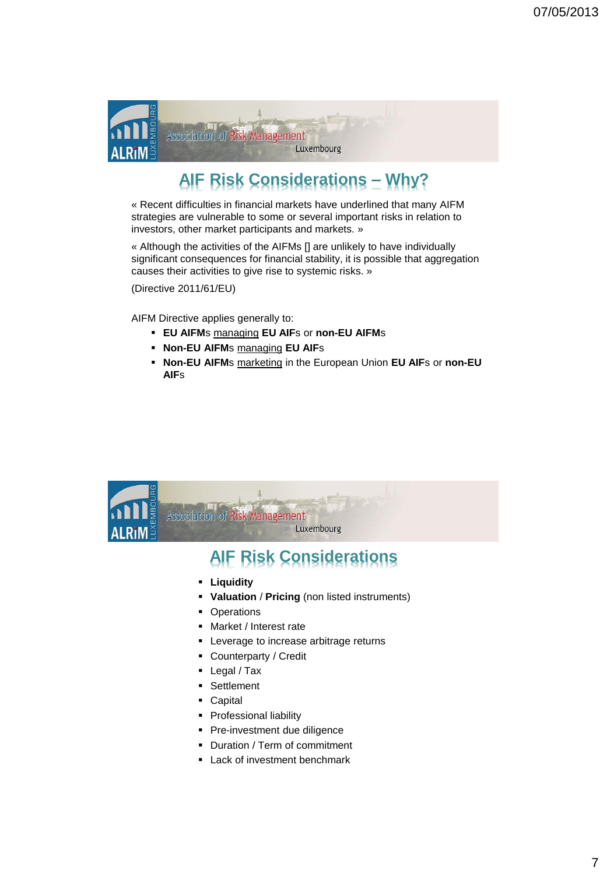

# **AIF Risk Considerations – Why?**

« Recent difficulties in financial markets have underlined that many AIFM strategies are vulnerable to some or several important risks in relation to investors, other market participants and markets. »

« Although the activities of the AIFMs [] are unlikely to have individually significant consequences for financial stability, it is possible that aggregation causes their activities to give rise to systemic risks. »

(Directive 2011/61/EU)

AIFM Directive applies generally to:

- **EU AIFM**s managing **EU AIF**s or **non-EU AIFM**s
- **Non-EU AIFM**s managing **EU AIF**s
- **Non-EU AIFM**s marketing in the European Union **EU AIF**s or **non-EU AIF**s



## **AIF Risk Considerations**

- **Liquidity**
- **Valuation** / **Pricing** (non listed instruments)
- Operations
- Market / Interest rate
- **Leverage to increase arbitrage returns**
- Counterparty / Credit
- Legal / Tax
- **Settlement**
- Capital
- **Professional liability**
- **Pre-investment due diligence**
- Duration / Term of commitment
- **Lack of investment benchmark**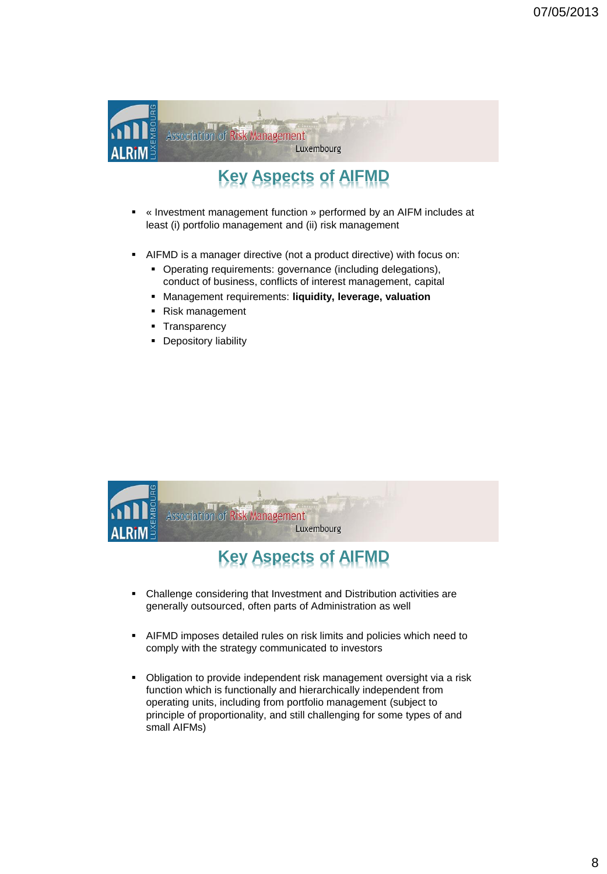

# **Key Aspects of AIFMD**

- « Investment management function » performed by an AIFM includes at least (i) portfolio management and (ii) risk management
- AIFMD is a manager directive (not a product directive) with focus on:
	- Operating requirements: governance (including delegations), conduct of business, conflicts of interest management, capital
	- Management requirements: **liquidity, leverage, valuation**
	- Risk management
	- **Transparency**
	- **•** Depository liability



# **Key Aspects of AIFMD**

- Challenge considering that Investment and Distribution activities are generally outsourced, often parts of Administration as well
- AIFMD imposes detailed rules on risk limits and policies which need to comply with the strategy communicated to investors
- Obligation to provide independent risk management oversight via a risk function which is functionally and hierarchically independent from operating units, including from portfolio management (subject to principle of proportionality, and still challenging for some types of and small AIFMs)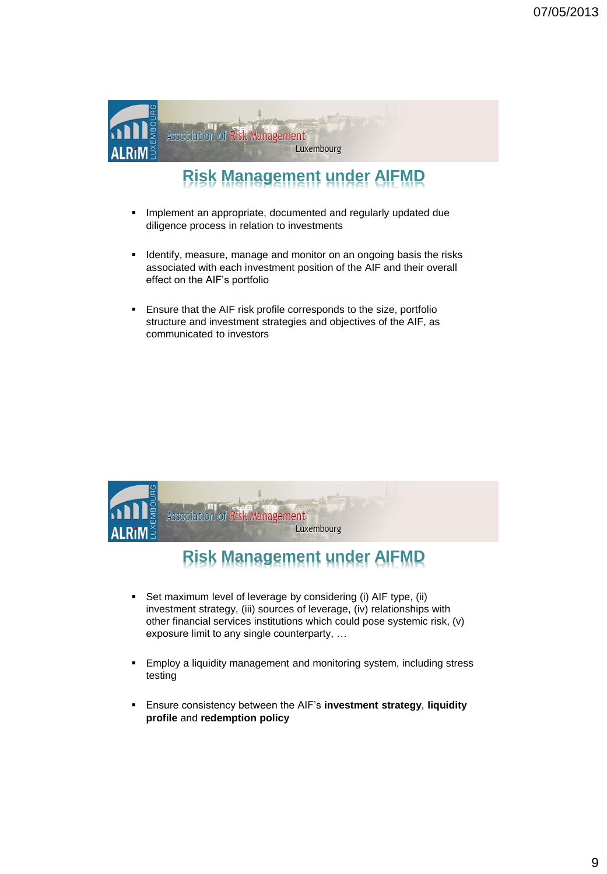

# **Risk Management under AIFMD**

- **IMPLEMENT Annual Propriate, documented and regularly updated due** diligence process in relation to investments
- **If Identify, measure, manage and monitor on an ongoing basis the risks** associated with each investment position of the AIF and their overall effect on the AIF's portfolio
- **Ensure that the AIF risk profile corresponds to the size, portfolio** structure and investment strategies and objectives of the AIF, as communicated to investors



# **Risk Management under AIFMD**

- Set maximum level of leverage by considering (i) AIF type, (ii) investment strategy, (iii) sources of leverage, (iv) relationships with other financial services institutions which could pose systemic risk, (v) exposure limit to any single counterparty, …
- **Employ a liquidity management and monitoring system, including stress** testing
- Ensure consistency between the AIF's **investment strategy**, **liquidity profile** and **redemption policy**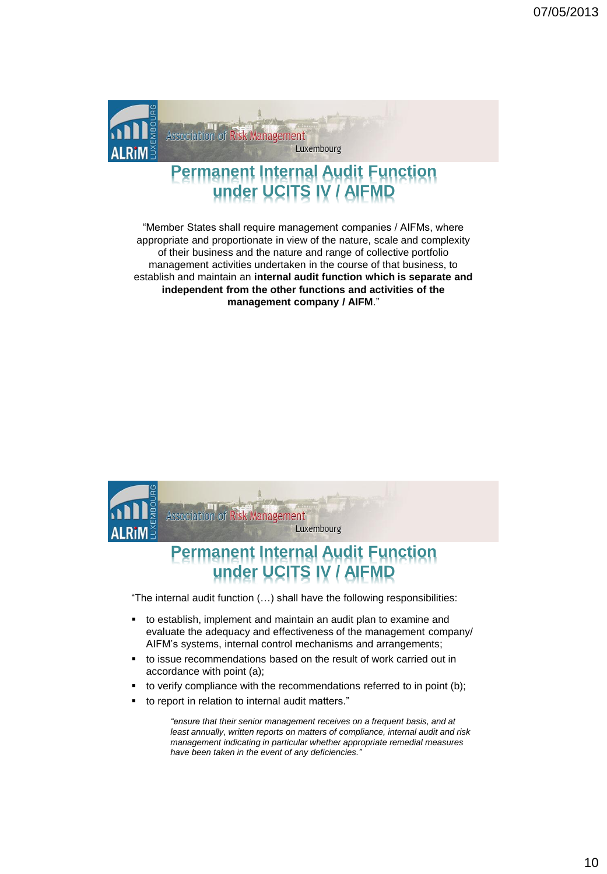

### **Permanent Internal Audit Function under UCITS IV / AIFMD**

"Member States shall require management companies / AIFMs, where appropriate and proportionate in view of the nature, scale and complexity of their business and the nature and range of collective portfolio management activities undertaken in the course of that business, to establish and maintain an **internal audit function which is separate and independent from the other functions and activities of the management company / AIFM**."



"The internal audit function (…) shall have the following responsibilities:

- to establish, implement and maintain an audit plan to examine and evaluate the adequacy and effectiveness of the management company/ AIFM's systems, internal control mechanisms and arrangements;
- to issue recommendations based on the result of work carried out in accordance with point (a);
- to verify compliance with the recommendations referred to in point (b);
- to report in relation to internal audit matters."

*"ensure that their senior management receives on a frequent basis, and at least annually, written reports on matters of compliance, internal audit and risk management indicating in particular whether appropriate remedial measures have been taken in the event of any deficiencies."*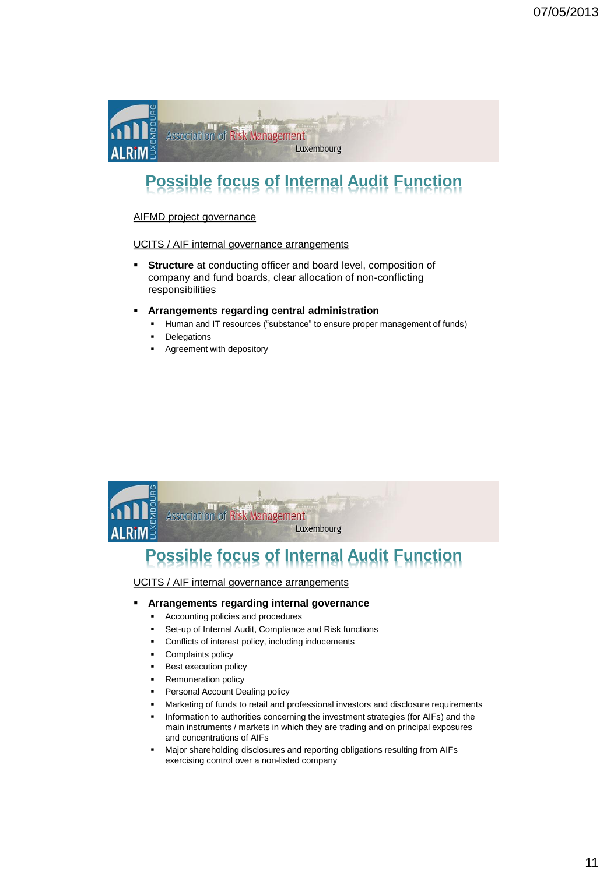

# **Possible focus of Internal Audit Function**

### AIFMD project governance

### UCITS / AIF internal governance arrangements

- **Structure** at conducting officer and board level, composition of company and fund boards, clear allocation of non-conflicting responsibilities
- **Arrangements regarding central administration**
	- Human and IT resources ("substance" to ensure proper management of funds)
	- Delegations
	- Agreement with depository



# **Possible focus of Internal Audit Function**

UCITS / AIF internal governance arrangements

### **Arrangements regarding internal governance**

- Accounting policies and procedures
- Set-up of Internal Audit, Compliance and Risk functions
- Conflicts of interest policy, including inducements
- Complaints policy
- Best execution policy
- Remuneration policy
- Personal Account Dealing policy
- Marketing of funds to retail and professional investors and disclosure requirements
- Information to authorities concerning the investment strategies (for AIFs) and the main instruments / markets in which they are trading and on principal exposures and concentrations of AIFs
- Major shareholding disclosures and reporting obligations resulting from AIFs exercising control over a non-listed company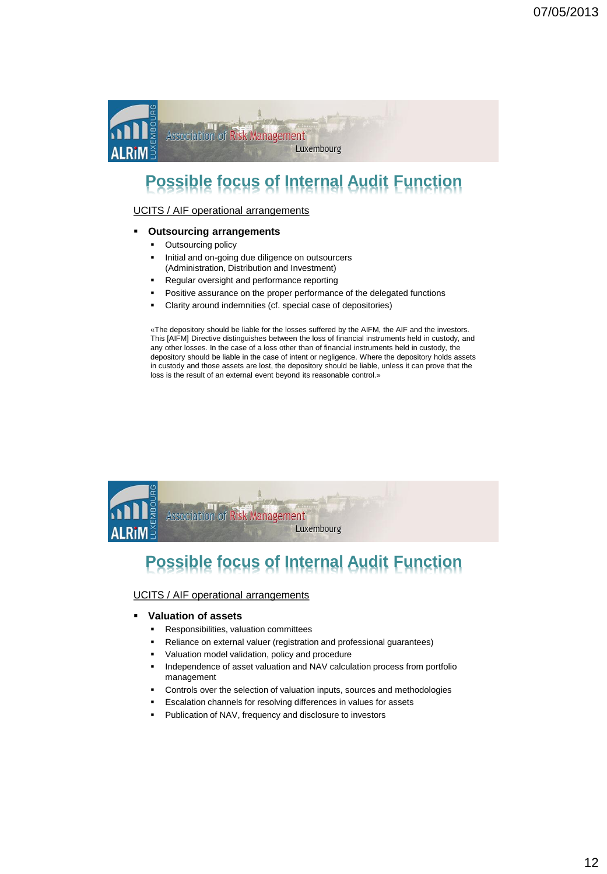

# **Possible focus of Internal Audit Function**

UCITS / AIF operational arrangements

### **Outsourcing arrangements**

- Outsourcing policy
- **Initial and on-going due diligence on outsourcers** (Administration, Distribution and Investment)
- Regular oversight and performance reporting
- Positive assurance on the proper performance of the delegated functions
- Clarity around indemnities (cf. special case of depositories)

«The depository should be liable for the losses suffered by the AIFM, the AIF and the investors. This [AIFM] Directive distinguishes between the loss of financial instruments held in custody, and any other losses. In the case of a loss other than of financial instruments held in custody, the depository should be liable in the case of intent or negligence. Where the depository holds assets in custody and those assets are lost, the depository should be liable, unless it can prove that the loss is the result of an external event beyond its reasonable control.»



# **Possible focus of Internal Audit Function**

UCITS / AIF operational arrangements

- **Valuation of assets**
	- Responsibilities, valuation committees
	- Reliance on external valuer (registration and professional guarantees)
	- Valuation model validation, policy and procedure
	- Independence of asset valuation and NAV calculation process from portfolio management
	- Controls over the selection of valuation inputs, sources and methodologies
	- Escalation channels for resolving differences in values for assets
	- Publication of NAV, frequency and disclosure to investors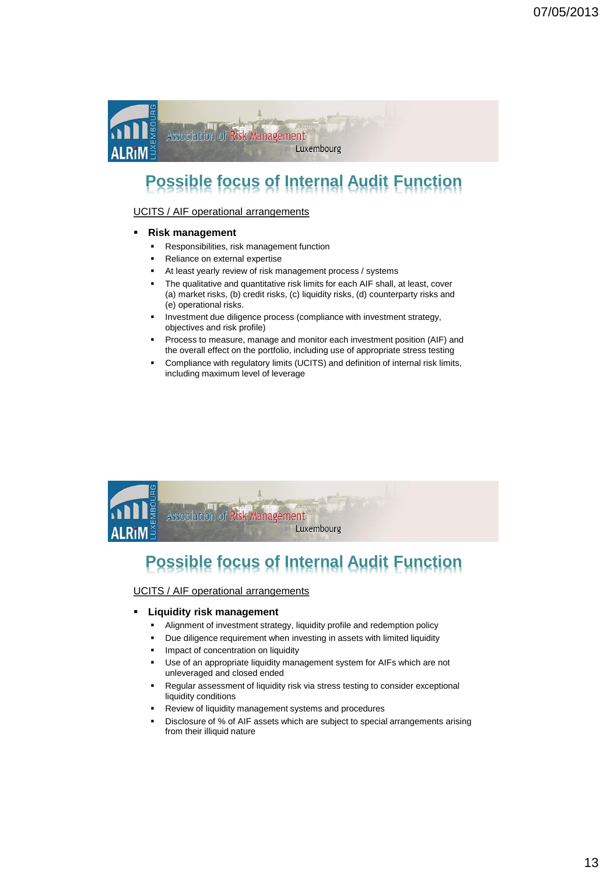

# **Possible focus of Internal Audit Function**

### UCITS / AIF operational arrangements

- **Risk management**
	- **Responsibilities, risk management function**
	- Reliance on external expertise
	- At least yearly review of risk management process / systems
	- The qualitative and quantitative risk limits for each AIF shall, at least, cover (a) market risks, (b) credit risks, (c) liquidity risks, (d) counterparty risks and (e) operational risks.
	- Investment due diligence process (compliance with investment strategy, objectives and risk profile)
	- Process to measure, manage and monitor each investment position (AIF) and the overall effect on the portfolio, including use of appropriate stress testing
	- Compliance with regulatory limits (UCITS) and definition of internal risk limits, including maximum level of leverage



# **Possible focus of Internal Audit Function**

UCITS / AIF operational arrangements

### **Liquidity risk management**

- Alignment of investment strategy, liquidity profile and redemption policy
- Due diligence requirement when investing in assets with limited liquidity
- Impact of concentration on liquidity
- Use of an appropriate liquidity management system for AIFs which are not unleveraged and closed ended
- Regular assessment of liquidity risk via stress testing to consider exceptional liquidity conditions
- Review of liquidity management systems and procedures
- Disclosure of % of AIF assets which are subject to special arrangements arising from their illiquid nature